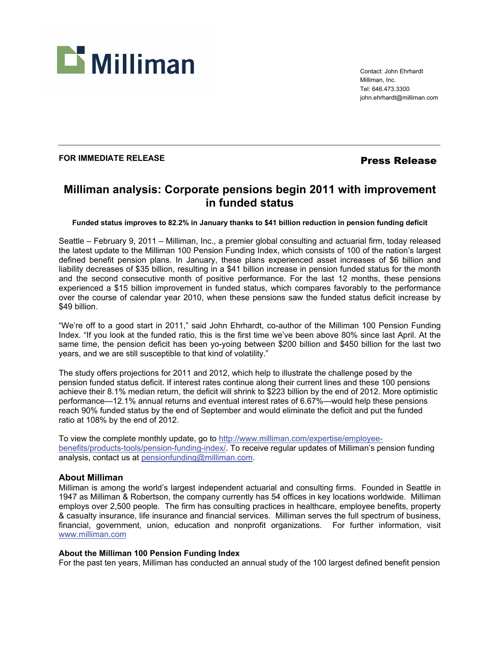

Contact: John Ehrhardt Milliman, Inc. Tel: 646.473.3300 john.ehrhardt@milliman.com

## **FOR IMMEDIATE RELEASE** *Press Release*

# **Milliman analysis: Corporate pensions begin 2011 with improvement in funded status**

#### **Funded status improves to 82.2% in January thanks to \$41 billion reduction in pension funding deficit**

Seattle – February 9, 2011 – Milliman, Inc., a premier global consulting and actuarial firm, today released the latest update to the Milliman 100 Pension Funding Index, which consists of 100 of the nation's largest defined benefit pension plans. In January, these plans experienced asset increases of \$6 billion and liability decreases of \$35 billion, resulting in a \$41 billion increase in pension funded status for the month and the second consecutive month of positive performance. For the last 12 months, these pensions experienced a \$15 billion improvement in funded status, which compares favorably to the performance over the course of calendar year 2010, when these pensions saw the funded status deficit increase by \$49 billion.

"We're off to a good start in 2011," said John Ehrhardt, co-author of the Milliman 100 Pension Funding Index. "If you look at the funded ratio, this is the first time we've been above 80% since last April. At the same time, the pension deficit has been yo-yoing between \$200 billion and \$450 billion for the last two years, and we are still susceptible to that kind of volatility."

The study offers projections for 2011 and 2012, which help to illustrate the challenge posed by the pension funded status deficit. If interest rates continue along their current lines and these 100 pensions achieve their 8.1% median return, the deficit will shrink to \$223 billion by the end of 2012. More optimistic performance—12.1% annual returns and eventual interest rates of 6.67%—would help these pensions reach 90% funded status by the end of September and would eliminate the deficit and put the funded ratio at 108% by the end of 2012.

To view the complete monthly update, go to http://www.milliman.com/expertise/employeebenefits/products-tools/pension-funding-index/. To receive regular updates of Milliman's pension funding analysis, contact us at pensionfunding@milliman.com.

### **About Milliman**

Milliman is among the world's largest independent actuarial and consulting firms. Founded in Seattle in 1947 as Milliman & Robertson, the company currently has 54 offices in key locations worldwide. Milliman employs over 2,500 people. The firm has consulting practices in healthcare, employee benefits, property & casualty insurance, life insurance and financial services. Milliman serves the full spectrum of business, financial, government, union, education and nonprofit organizations. For further information, visit www.milliman.com

#### **About the Milliman 100 Pension Funding Index**

For the past ten years, Milliman has conducted an annual study of the 100 largest defined benefit pension